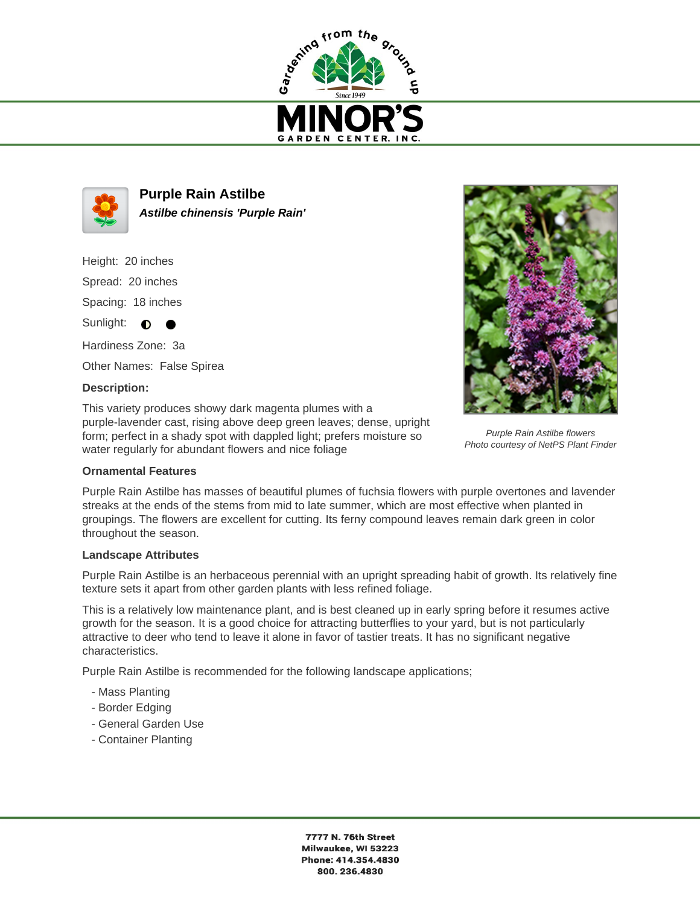



**Purple Rain Astilbe Astilbe chinensis 'Purple Rain'**

Height: 20 inches Spread: 20 inches Spacing: 18 inches Sunlight:  $\bullet$ -

Hardiness Zone: 3a Other Names: False Spirea

## **Description:**

This variety produces showy dark magenta plumes with a purple-lavender cast, rising above deep green leaves; dense, upright form; perfect in a shady spot with dappled light; prefers moisture so water regularly for abundant flowers and nice foliage



Purple Rain Astilbe has masses of beautiful plumes of fuchsia flowers with purple overtones and lavender streaks at the ends of the stems from mid to late summer, which are most effective when planted in groupings. The flowers are excellent for cutting. Its ferny compound leaves remain dark green in color throughout the season.

## **Landscape Attributes**

Purple Rain Astilbe is an herbaceous perennial with an upright spreading habit of growth. Its relatively fine texture sets it apart from other garden plants with less refined foliage.

This is a relatively low maintenance plant, and is best cleaned up in early spring before it resumes active growth for the season. It is a good choice for attracting butterflies to your yard, but is not particularly attractive to deer who tend to leave it alone in favor of tastier treats. It has no significant negative characteristics.

Purple Rain Astilbe is recommended for the following landscape applications;

- Mass Planting
- Border Edging
- General Garden Use
- Container Planting

7777 N. 76th Street Milwaukee, WI 53223 Phone: 414.354.4830 800.236.4830



Purple Rain Astilbe flowers Photo courtesy of NetPS Plant Finder